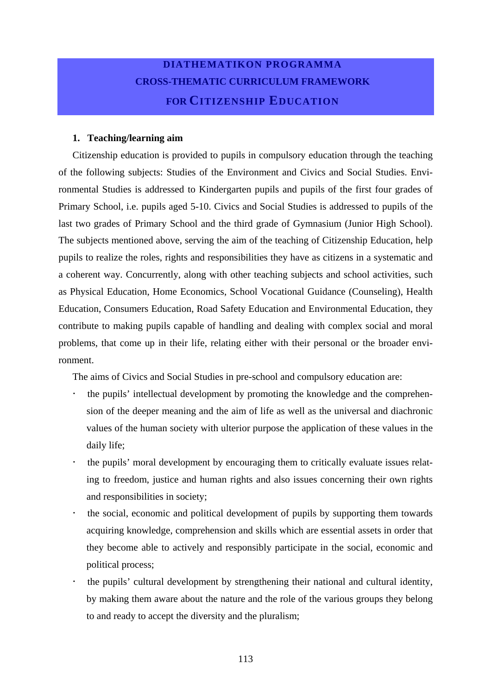### **DIATHEMATIKON PROGRAMMA CROSS-THEMATIC CURRICULUM FRAMEWORK FOR CITIZENSHIP EDUCATION**

#### **1. Teaching/learning aim**

Citizenship education is provided to pupils in compulsory education through the teaching of the following subjects: Studies of the Environment and Civics and Social Studies. Environmental Studies is addressed to Kindergarten pupils and pupils of the first four grades of Primary School, i.e. pupils aged 5-10. Civics and Social Studies is addressed to pupils of the last two grades of Primary School and the third grade of Gymnasium (Junior High School). The subjects mentioned above, serving the aim of the teaching of Citizenship Education, help pupils to realize the roles, rights and responsibilities they have as citizens in a systematic and a coherent way. Concurrently, along with other teaching subjects and school activities, such as Physical Education, Home Economics, School Vocational Guidance (Counseling), Health Education, Consumers Education, Road Safety Education and Environmental Education, they contribute to making pupils capable of handling and dealing with complex social and moral problems, that come up in their life, relating either with their personal or the broader environment.

The aims of Civics and Social Studies in pre-school and compulsory education are:

- ! the pupils' intellectual development by promoting the knowledge and the comprehension of the deeper meaning and the aim of life as well as the universal and diachronic values of the human society with ulterior purpose the application of these values in the daily life;
- ! the pupils' moral development by encouraging them to critically evaluate issues relating to freedom, justice and human rights and also issues concerning their own rights and responsibilities in society;
- ! the social, economic and political development of pupils by supporting them towards acquiring knowledge, comprehension and skills which are essential assets in order that they become able to actively and responsibly participate in the social, economic and political process;
- ! the pupils' cultural development by strengthening their national and cultural identity, by making them aware about the nature and the role of the various groups they belong to and ready to accept the diversity and the pluralism;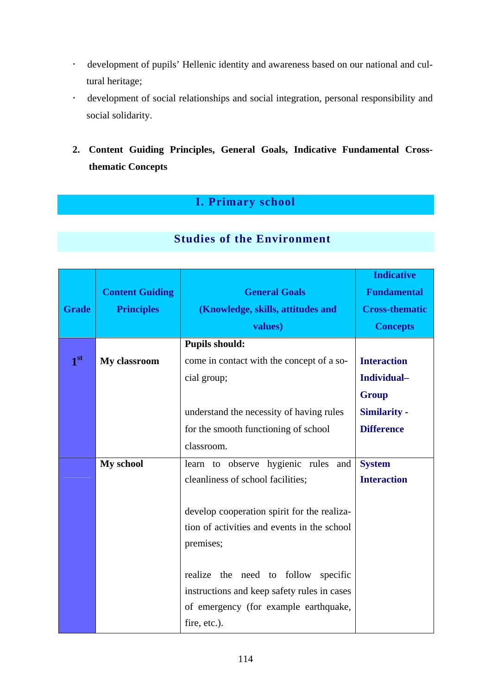- ! development of pupils' Hellenic identity and awareness based on our national and cultural heritage;
- ! development of social relationships and social integration, personal responsibility and social solidarity.
- **2. Content Guiding Principles, General Goals, Indicative Fundamental Crossthematic Concepts**

#### **I. Primary school**

|                 |                        |                                             | <b>Indicative</b>     |
|-----------------|------------------------|---------------------------------------------|-----------------------|
|                 | <b>Content Guiding</b> | <b>General Goals</b>                        | <b>Fundamental</b>    |
| <b>Grade</b>    | <b>Principles</b>      | (Knowledge, skills, attitudes and           | <b>Cross-thematic</b> |
|                 |                        | values)                                     | <b>Concepts</b>       |
|                 |                        | <b>Pupils should:</b>                       |                       |
| 1 <sup>st</sup> | My classroom           | come in contact with the concept of a so-   | <b>Interaction</b>    |
|                 |                        | cial group;                                 | Individual-           |
|                 |                        |                                             | <b>Group</b>          |
|                 |                        | understand the necessity of having rules    | <b>Similarity -</b>   |
|                 |                        | for the smooth functioning of school        | <b>Difference</b>     |
|                 |                        | classroom.                                  |                       |
|                 | My school              | learn to observe hygienic rules<br>and      | <b>System</b>         |
|                 |                        | cleanliness of school facilities;           | <b>Interaction</b>    |
|                 |                        |                                             |                       |
|                 |                        | develop cooperation spirit for the realiza- |                       |
|                 |                        | tion of activities and events in the school |                       |
|                 |                        | premises;                                   |                       |
|                 |                        |                                             |                       |
|                 |                        | realize the need to follow<br>specific      |                       |
|                 |                        | instructions and keep safety rules in cases |                       |
|                 |                        | of emergency (for example earthquake,       |                       |
|                 |                        | fire, etc.).                                |                       |

#### **Studies of the Environment**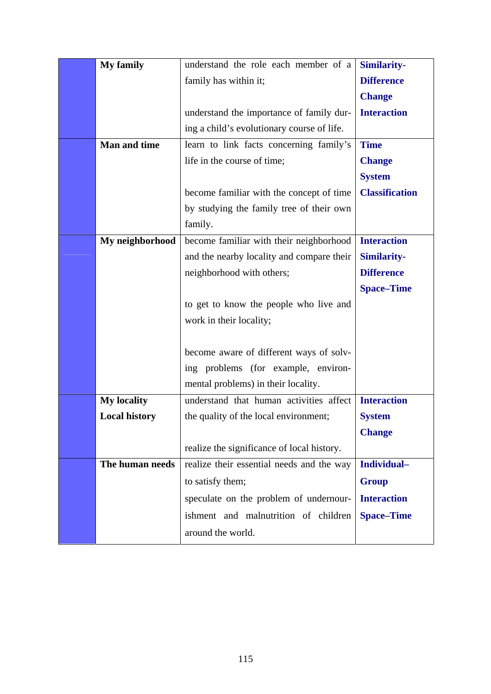| <b>My family</b><br>understand the role each member of a       | <b>Similarity-</b>    |
|----------------------------------------------------------------|-----------------------|
| family has within it;                                          | <b>Difference</b>     |
|                                                                | <b>Change</b>         |
| understand the importance of family dur-                       | <b>Interaction</b>    |
| ing a child's evolutionary course of life.                     |                       |
| <b>Man and time</b><br>learn to link facts concerning family's | <b>Time</b>           |
| life in the course of time;                                    | <b>Change</b>         |
|                                                                | <b>System</b>         |
| become familiar with the concept of time                       | <b>Classification</b> |
| by studying the family tree of their own                       |                       |
| family.                                                        |                       |
| become familiar with their neighborhood<br>My neighborhood     | <b>Interaction</b>    |
| and the nearby locality and compare their                      | <b>Similarity-</b>    |
| neighborhood with others;                                      | <b>Difference</b>     |
|                                                                | <b>Space–Time</b>     |
| to get to know the people who live and                         |                       |
| work in their locality;                                        |                       |
|                                                                |                       |
| become aware of different ways of solv-                        |                       |
| ing problems (for example, environ-                            |                       |
| mental problems) in their locality.                            |                       |
| <b>My locality</b><br>understand that human activities affect  | <b>Interaction</b>    |
| <b>Local history</b><br>the quality of the local environment;  | <b>System</b>         |
|                                                                | <b>Change</b>         |
| realize the significance of local history.                     |                       |
| realize their essential needs and the way<br>The human needs   | Individual-           |
| to satisfy them;                                               | <b>Group</b>          |
| speculate on the problem of undernour-                         | <b>Interaction</b>    |
| ishment and malnutrition of children                           | <b>Space–Time</b>     |
| around the world.                                              |                       |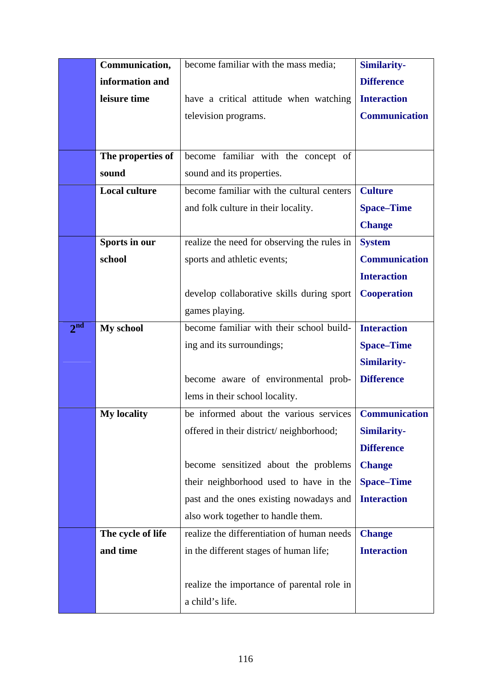|                 | Communication,       | become familiar with the mass media;        | <b>Similarity-</b>   |
|-----------------|----------------------|---------------------------------------------|----------------------|
|                 | information and      |                                             | <b>Difference</b>    |
|                 | leisure time         | have a critical attitude when watching      | <b>Interaction</b>   |
|                 |                      | television programs.                        | <b>Communication</b> |
|                 |                      |                                             |                      |
|                 | The properties of    | become familiar with the concept of         |                      |
|                 | sound                | sound and its properties.                   |                      |
|                 | <b>Local culture</b> | become familiar with the cultural centers   | <b>Culture</b>       |
|                 |                      | and folk culture in their locality.         | <b>Space–Time</b>    |
|                 |                      |                                             | <b>Change</b>        |
|                 | Sports in our        | realize the need for observing the rules in | <b>System</b>        |
|                 | school               | sports and athletic events;                 | <b>Communication</b> |
|                 |                      |                                             | <b>Interaction</b>   |
|                 |                      |                                             |                      |
|                 |                      | develop collaborative skills during sport   | <b>Cooperation</b>   |
|                 |                      | games playing.                              |                      |
| 2 <sup>nd</sup> | My school            | become familiar with their school build-    | <b>Interaction</b>   |
|                 |                      | ing and its surroundings;                   | <b>Space–Time</b>    |
|                 |                      |                                             | <b>Similarity-</b>   |
|                 |                      | become aware of environmental prob-         | <b>Difference</b>    |
|                 |                      | lems in their school locality.              |                      |
|                 | <b>My locality</b>   | be informed about the various services      | <b>Communication</b> |
|                 |                      | offered in their district/neighborhood;     | <b>Similarity-</b>   |
|                 |                      |                                             | <b>Difference</b>    |
|                 |                      | become sensitized about the problems        | <b>Change</b>        |
|                 |                      | their neighborhood used to have in the      | <b>Space–Time</b>    |
|                 |                      | past and the ones existing nowadays and     | <b>Interaction</b>   |
|                 |                      | also work together to handle them.          |                      |
|                 | The cycle of life    | realize the differentiation of human needs  | <b>Change</b>        |
|                 | and time             | in the different stages of human life;      | <b>Interaction</b>   |
|                 |                      |                                             |                      |
|                 |                      | realize the importance of parental role in  |                      |
|                 |                      | a child's life.                             |                      |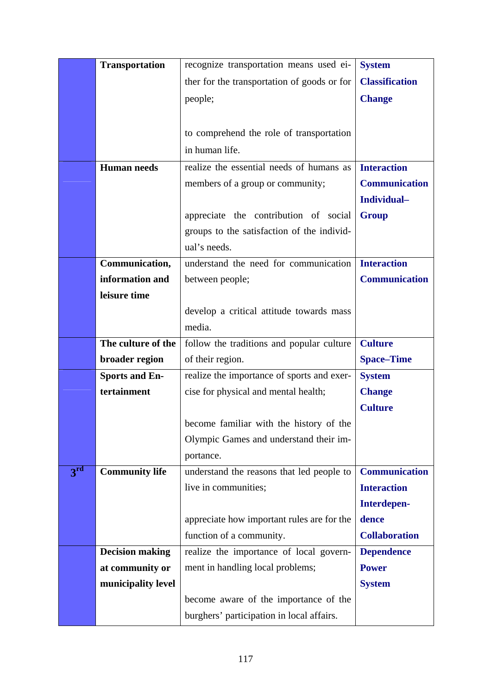|              | <b>Transportation</b>  | recognize transportation means used ei-     | <b>System</b>         |
|--------------|------------------------|---------------------------------------------|-----------------------|
|              |                        | ther for the transportation of goods or for | <b>Classification</b> |
|              |                        | people;                                     | <b>Change</b>         |
|              |                        |                                             |                       |
|              |                        | to comprehend the role of transportation    |                       |
|              |                        | in human life.                              |                       |
|              | <b>Human</b> needs     | realize the essential needs of humans as    | <b>Interaction</b>    |
|              |                        | members of a group or community;            | <b>Communication</b>  |
|              |                        |                                             | Individual-           |
|              |                        | appreciate the contribution of social       | <b>Group</b>          |
|              |                        | groups to the satisfaction of the individ-  |                       |
|              |                        | ual's needs.                                |                       |
|              | Communication,         | understand the need for communication       | <b>Interaction</b>    |
|              | information and        | between people;                             | <b>Communication</b>  |
|              | leisure time           |                                             |                       |
|              |                        | develop a critical attitude towards mass    |                       |
|              |                        | media.                                      |                       |
|              | The culture of the     | follow the traditions and popular culture   | <b>Culture</b>        |
|              | broader region         | of their region.                            | <b>Space-Time</b>     |
|              | <b>Sports and En-</b>  | realize the importance of sports and exer-  | <b>System</b>         |
|              | tertainment            | cise for physical and mental health;        | <b>Change</b>         |
|              |                        |                                             | <b>Culture</b>        |
|              |                        | become familiar with the history of the     |                       |
|              |                        | Olympic Games and understand their im-      |                       |
|              |                        | portance.                                   |                       |
| $3^{\rm rd}$ | <b>Community life</b>  | understand the reasons that led people to   | <b>Communication</b>  |
|              |                        | live in communities;                        | <b>Interaction</b>    |
|              |                        |                                             | Interdepen-           |
|              |                        | appreciate how important rules are for the  | dence                 |
|              |                        | function of a community.                    | <b>Collaboration</b>  |
|              | <b>Decision making</b> | realize the importance of local govern-     | <b>Dependence</b>     |
|              | at community or        | ment in handling local problems;            | <b>Power</b>          |
|              | municipality level     |                                             | <b>System</b>         |
|              |                        | become aware of the importance of the       |                       |
|              |                        | burghers' participation in local affairs.   |                       |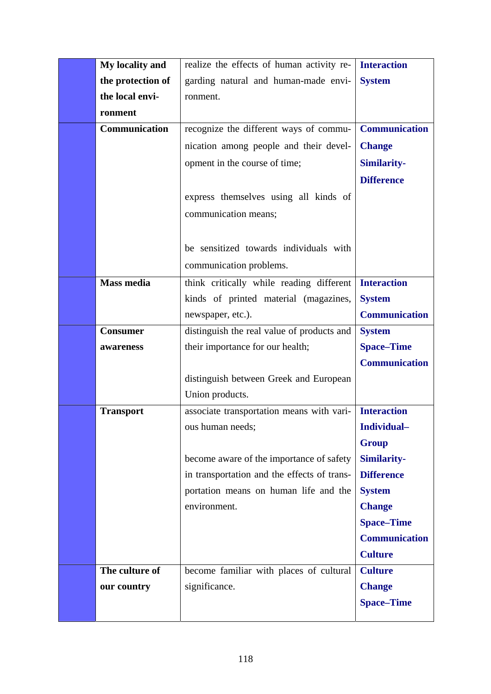| My locality and   | realize the effects of human activity re-   | <b>Interaction</b>   |
|-------------------|---------------------------------------------|----------------------|
| the protection of | garding natural and human-made envi-        | <b>System</b>        |
| the local envi-   | ronment.                                    |                      |
| ronment           |                                             |                      |
| Communication     | recognize the different ways of commu-      | <b>Communication</b> |
|                   | nication among people and their devel-      | <b>Change</b>        |
|                   | opment in the course of time;               | <b>Similarity-</b>   |
|                   |                                             | <b>Difference</b>    |
|                   | express themselves using all kinds of       |                      |
|                   | communication means;                        |                      |
|                   |                                             |                      |
|                   | be sensitized towards individuals with      |                      |
|                   | communication problems.                     |                      |
| <b>Mass media</b> | think critically while reading different    | <b>Interaction</b>   |
|                   | kinds of printed material (magazines,       | <b>System</b>        |
|                   | newspaper, etc.).                           | <b>Communication</b> |
| <b>Consumer</b>   | distinguish the real value of products and  | <b>System</b>        |
|                   |                                             |                      |
| awareness         | their importance for our health;            | <b>Space-Time</b>    |
|                   |                                             | <b>Communication</b> |
|                   | distinguish between Greek and European      |                      |
|                   | Union products.                             |                      |
| <b>Transport</b>  | associate transportation means with vari-   | <b>Interaction</b>   |
|                   | ous human needs;                            | Individual-          |
|                   |                                             | <b>Group</b>         |
|                   | become aware of the importance of safety    | <b>Similarity-</b>   |
|                   | in transportation and the effects of trans- | <b>Difference</b>    |
|                   | portation means on human life and the       | <b>System</b>        |
|                   | environment.                                | <b>Change</b>        |
|                   |                                             | <b>Space-Time</b>    |
|                   |                                             | <b>Communication</b> |
|                   |                                             | <b>Culture</b>       |
| The culture of    | become familiar with places of cultural     | <b>Culture</b>       |
| our country       | significance.                               | <b>Change</b>        |
|                   |                                             | <b>Space-Time</b>    |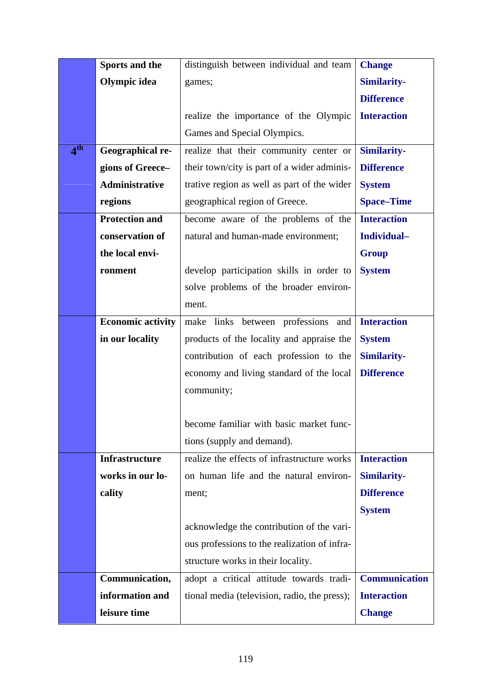|                                    | Sports and the           | distinguish between individual and team      | <b>Change</b>      |
|------------------------------------|--------------------------|----------------------------------------------|--------------------|
|                                    | Olympic idea             | games;                                       | <b>Similarity-</b> |
|                                    |                          |                                              | <b>Difference</b>  |
|                                    |                          | realize the importance of the Olympic        | <b>Interaction</b> |
|                                    |                          | Games and Special Olympics.                  |                    |
| $\boldsymbol{\Lambda}^{\text{th}}$ | Geographical re-         | realize that their community center or       | Similarity-        |
|                                    | gions of Greece-         | their town/city is part of a wider adminis-  | <b>Difference</b>  |
|                                    | Administrative           | trative region as well as part of the wider  | <b>System</b>      |
|                                    | regions                  | geographical region of Greece.               | <b>Space-Time</b>  |
|                                    | <b>Protection and</b>    | become aware of the problems of the          | <b>Interaction</b> |
|                                    | conservation of          | natural and human-made environment;          | Individual-        |
|                                    | the local envi-          |                                              | <b>Group</b>       |
|                                    | ronment                  | develop participation skills in order to     | <b>System</b>      |
|                                    |                          | solve problems of the broader environ-       |                    |
|                                    |                          | ment.                                        |                    |
|                                    | <b>Economic activity</b> | make links between professions and           | <b>Interaction</b> |
|                                    | in our locality          | products of the locality and appraise the    | <b>System</b>      |
|                                    |                          | contribution of each profession to the       | <b>Similarity-</b> |
|                                    |                          | economy and living standard of the local     | <b>Difference</b>  |
|                                    |                          | community;                                   |                    |
|                                    |                          |                                              |                    |
|                                    |                          | become familiar with basic market func-      |                    |
|                                    |                          | tions (supply and demand).                   |                    |
|                                    | <b>Infrastructure</b>    | realize the effects of infrastructure works  | <b>Interaction</b> |
|                                    | works in our lo-         | on human life and the natural environ-       | <b>Similarity-</b> |
|                                    | cality                   | ment;                                        | <b>Difference</b>  |
|                                    |                          |                                              | <b>System</b>      |
|                                    |                          | acknowledge the contribution of the vari-    |                    |
|                                    |                          | ous professions to the realization of infra- |                    |
|                                    |                          | structure works in their locality.           |                    |
|                                    | Communication,           | adopt a critical attitude towards tradi-     | Communication      |
|                                    | information and          | tional media (television, radio, the press); | <b>Interaction</b> |
|                                    | leisure time             |                                              | <b>Change</b>      |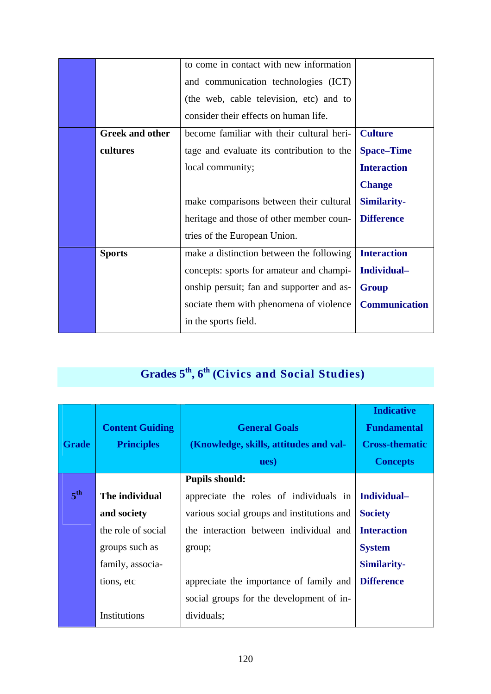|                        | to come in contact with new information   |                      |
|------------------------|-------------------------------------------|----------------------|
|                        | and communication technologies (ICT)      |                      |
|                        | (the web, cable television, etc) and to   |                      |
|                        | consider their effects on human life.     |                      |
| <b>Greek and other</b> | become familiar with their cultural heri- | <b>Culture</b>       |
| cultures               | tage and evaluate its contribution to the | <b>Space–Time</b>    |
|                        | local community;                          | <b>Interaction</b>   |
|                        |                                           | <b>Change</b>        |
|                        | make comparisons between their cultural   | <b>Similarity-</b>   |
|                        | heritage and those of other member coun-  | <b>Difference</b>    |
|                        | tries of the European Union.              |                      |
| <b>Sports</b>          | make a distinction between the following  | <b>Interaction</b>   |
|                        | concepts: sports for amateur and champi-  | Individual-          |
|                        | onship persuit; fan and supporter and as- | <b>Group</b>         |
|                        | sociate them with phenomena of violence   | <b>Communication</b> |
|                        | in the sports field.                      |                      |
|                        |                                           |                      |

# **Grades 5th, 6th (Civics and Social Studies)**

| <b>Grade</b>    | <b>Content Guiding</b><br><b>Principles</b> | <b>General Goals</b><br>(Knowledge, skills, attitudes and val-<br>ues) | <b>Indicative</b><br><b>Fundamental</b><br><b>Cross-thematic</b><br><b>Concepts</b> |
|-----------------|---------------------------------------------|------------------------------------------------------------------------|-------------------------------------------------------------------------------------|
|                 |                                             | <b>Pupils should:</b>                                                  |                                                                                     |
| 5 <sup>th</sup> | The individual                              | appreciate the roles of individuals in                                 | Individual-                                                                         |
|                 | and society                                 | various social groups and institutions and                             | <b>Society</b>                                                                      |
|                 | the role of social                          | the interaction between individual and                                 | <b>Interaction</b>                                                                  |
|                 | groups such as                              | group;                                                                 | <b>System</b>                                                                       |
|                 | family, associa-                            |                                                                        | <b>Similarity-</b>                                                                  |
|                 | tions, etc                                  | appreciate the importance of family and                                | <b>Difference</b>                                                                   |
|                 |                                             | social groups for the development of in-                               |                                                                                     |
|                 | Institutions                                | dividuals;                                                             |                                                                                     |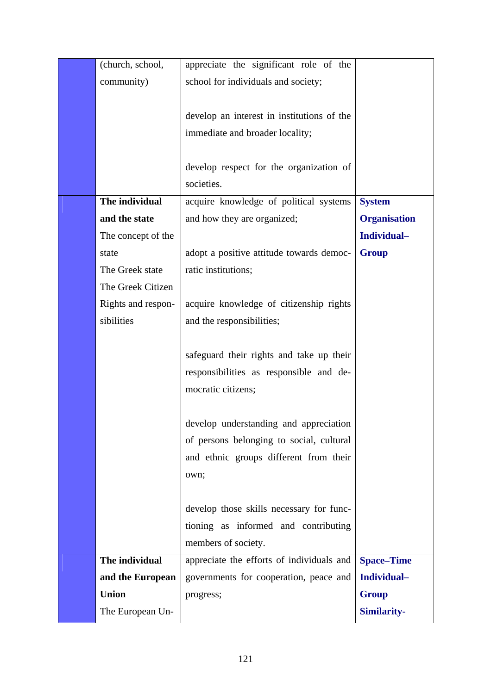| (church, school,   | appreciate the significant role of the     |                     |
|--------------------|--------------------------------------------|---------------------|
| community)         | school for individuals and society;        |                     |
|                    |                                            |                     |
|                    | develop an interest in institutions of the |                     |
|                    | immediate and broader locality;            |                     |
|                    |                                            |                     |
|                    | develop respect for the organization of    |                     |
|                    | societies.                                 |                     |
| The individual     | acquire knowledge of political systems     | <b>System</b>       |
| and the state      | and how they are organized;                | <b>Organisation</b> |
| The concept of the |                                            | Individual-         |
| state              | adopt a positive attitude towards democ-   | <b>Group</b>        |
| The Greek state    | ratic institutions;                        |                     |
| The Greek Citizen  |                                            |                     |
| Rights and respon- | acquire knowledge of citizenship rights    |                     |
| sibilities         | and the responsibilities;                  |                     |
|                    |                                            |                     |
|                    | safeguard their rights and take up their   |                     |
|                    | responsibilities as responsible and de-    |                     |
|                    | mocratic citizens;                         |                     |
|                    |                                            |                     |
|                    | develop understanding and appreciation     |                     |
|                    | of persons belonging to social, cultural   |                     |
|                    | and ethnic groups different from their     |                     |
|                    | own;                                       |                     |
|                    |                                            |                     |
|                    | develop those skills necessary for func-   |                     |
|                    | tioning as informed and contributing       |                     |
|                    | members of society.                        |                     |
| The individual     | appreciate the efforts of individuals and  | <b>Space-Time</b>   |
| and the European   | governments for cooperation, peace and     | Individual-         |
| <b>Union</b>       | progress;                                  | <b>Group</b>        |
| The European Un-   |                                            | <b>Similarity-</b>  |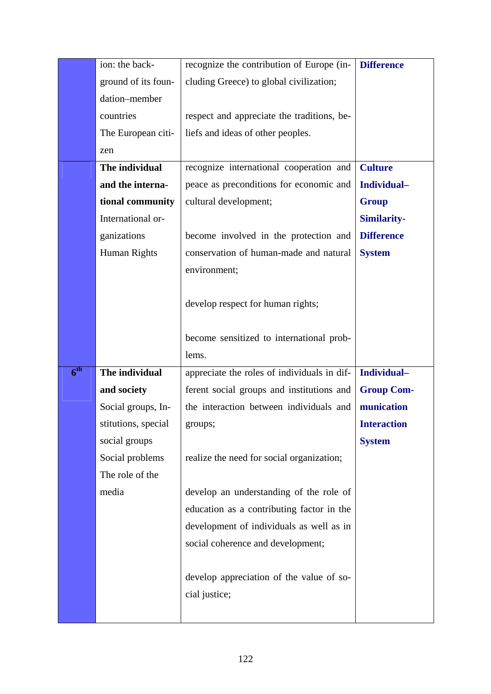|              | ion: the back-      | recognize the contribution of Europe (in-   | <b>Difference</b>  |
|--------------|---------------------|---------------------------------------------|--------------------|
|              | ground of its foun- | cluding Greece) to global civilization;     |                    |
|              | dation-member       |                                             |                    |
|              | countries           | respect and appreciate the traditions, be-  |                    |
|              | The European citi-  | liefs and ideas of other peoples.           |                    |
|              | zen                 |                                             |                    |
|              | The individual      | recognize international cooperation and     | <b>Culture</b>     |
|              | and the interna-    | peace as preconditions for economic and     | Individual-        |
|              | tional community    | cultural development;                       | <b>Group</b>       |
|              | International or-   |                                             | <b>Similarity-</b> |
|              | ganizations         | become involved in the protection and       | <b>Difference</b>  |
|              | Human Rights        | conservation of human-made and natural      | <b>System</b>      |
|              |                     | environment;                                |                    |
|              |                     |                                             |                    |
|              |                     | develop respect for human rights;           |                    |
|              |                     |                                             |                    |
|              |                     | become sensitized to international prob-    |                    |
|              |                     |                                             |                    |
|              |                     | lems.                                       |                    |
| $6^{\rm th}$ | The individual      | appreciate the roles of individuals in dif- | Individual-        |
|              | and society         | ferent social groups and institutions and   | <b>Group Com-</b>  |
|              | Social groups, In-  | the interaction between individuals and     | munication         |
|              | stitutions, special | groups;                                     | <b>Interaction</b> |
|              | social groups       |                                             | <b>System</b>      |
|              | Social problems     | realize the need for social organization;   |                    |
|              | The role of the     |                                             |                    |
|              | media               | develop an understanding of the role of     |                    |
|              |                     | education as a contributing factor in the   |                    |
|              |                     | development of individuals as well as in    |                    |
|              |                     | social coherence and development;           |                    |
|              |                     |                                             |                    |
|              |                     | develop appreciation of the value of so-    |                    |
|              |                     | cial justice;                               |                    |
|              |                     |                                             |                    |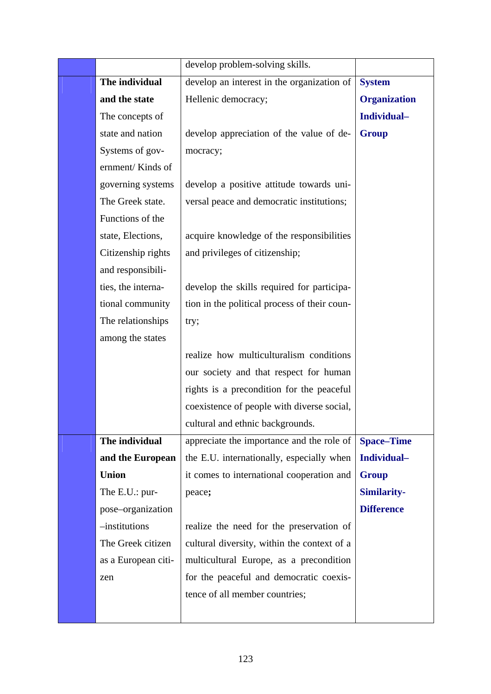|                     | develop problem-solving skills.              |                     |
|---------------------|----------------------------------------------|---------------------|
| The individual      | develop an interest in the organization of   | <b>System</b>       |
| and the state       | Hellenic democracy;                          | <b>Organization</b> |
| The concepts of     |                                              | Individual-         |
| state and nation    | develop appreciation of the value of de-     | <b>Group</b>        |
| Systems of gov-     | mocracy;                                     |                     |
| ernment/Kinds of    |                                              |                     |
| governing systems   | develop a positive attitude towards uni-     |                     |
| The Greek state.    | versal peace and democratic institutions;    |                     |
| Functions of the    |                                              |                     |
| state, Elections,   | acquire knowledge of the responsibilities    |                     |
| Citizenship rights  | and privileges of citizenship;               |                     |
| and responsibili-   |                                              |                     |
| ties, the interna-  | develop the skills required for participa-   |                     |
| tional community    | tion in the political process of their coun- |                     |
| The relationships   | try;                                         |                     |
| among the states    |                                              |                     |
|                     | realize how multiculturalism conditions      |                     |
|                     | our society and that respect for human       |                     |
|                     | rights is a precondition for the peaceful    |                     |
|                     | coexistence of people with diverse social,   |                     |
|                     | cultural and ethnic backgrounds.             |                     |
| The individual      | appreciate the importance and the role of    | <b>Space-Time</b>   |
| and the European    | the E.U. internationally, especially when    | Individual-         |
| <b>Union</b>        | it comes to international cooperation and    | <b>Group</b>        |
| The E.U.: pur-      | peace;                                       | <b>Similarity-</b>  |
| pose-organization   |                                              | <b>Difference</b>   |
| $-$ institutions    | realize the need for the preservation of     |                     |
| The Greek citizen   | cultural diversity, within the context of a  |                     |
| as a European citi- | multicultural Europe, as a precondition      |                     |
| zen                 | for the peaceful and democratic coexis-      |                     |
|                     | tence of all member countries;               |                     |
|                     |                                              |                     |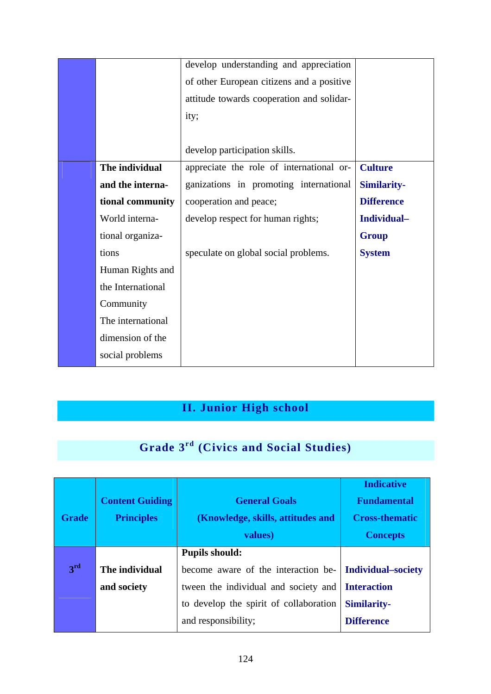|                   | develop understanding and appreciation    |                   |
|-------------------|-------------------------------------------|-------------------|
|                   | of other European citizens and a positive |                   |
|                   | attitude towards cooperation and solidar- |                   |
|                   | ity;                                      |                   |
|                   |                                           |                   |
|                   | develop participation skills.             |                   |
| The individual    | appreciate the role of international or-  | <b>Culture</b>    |
| and the interna-  | ganizations in promoting international    | Similarity-       |
| tional community  | cooperation and peace;                    | <b>Difference</b> |
| World interna-    | develop respect for human rights;         | Individual-       |
| tional organiza-  |                                           | <b>Group</b>      |
| tions             | speculate on global social problems.      | <b>System</b>     |
| Human Rights and  |                                           |                   |
| the International |                                           |                   |
| Community         |                                           |                   |
| The international |                                           |                   |
| dimension of the  |                                           |                   |
| social problems   |                                           |                   |

### **II. Junior High school**

## **Grade 3rd (Civics and Social Studies)**

|              |                        |                                        | <b>Indicative</b>         |
|--------------|------------------------|----------------------------------------|---------------------------|
|              | <b>Content Guiding</b> | <b>General Goals</b>                   | <b>Fundamental</b>        |
| <b>Grade</b> | <b>Principles</b>      | (Knowledge, skills, attitudes and      | <b>Cross-thematic</b>     |
|              |                        | values)                                | <b>Concepts</b>           |
|              |                        | <b>Pupils should:</b>                  |                           |
| 3rd          | The individual         | become aware of the interaction be-    | <b>Individual–society</b> |
|              | and society            | tween the individual and society and   | <b>Interaction</b>        |
|              |                        | to develop the spirit of collaboration | <b>Similarity-</b>        |
|              |                        | and responsibility;                    | <b>Difference</b>         |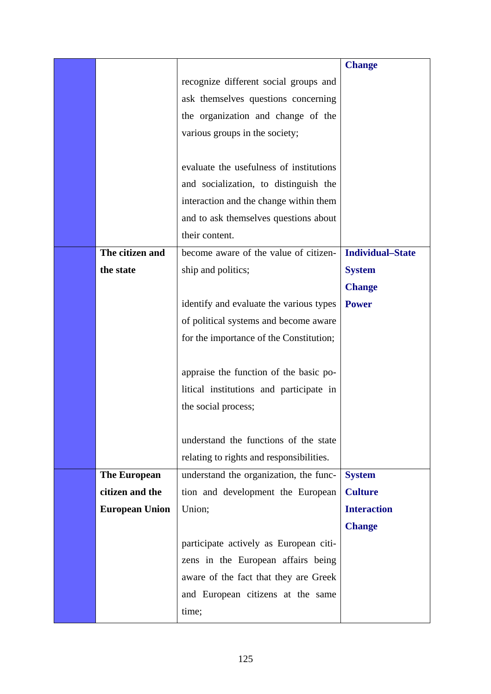|                       |                                          | <b>Change</b>           |
|-----------------------|------------------------------------------|-------------------------|
|                       | recognize different social groups and    |                         |
|                       | ask themselves questions concerning      |                         |
|                       | the organization and change of the       |                         |
|                       | various groups in the society;           |                         |
|                       |                                          |                         |
|                       | evaluate the usefulness of institutions  |                         |
|                       | and socialization, to distinguish the    |                         |
|                       | interaction and the change within them   |                         |
|                       | and to ask themselves questions about    |                         |
|                       | their content.                           |                         |
| The citizen and       | become aware of the value of citizen-    | <b>Individual-State</b> |
| the state             | ship and politics;                       | <b>System</b>           |
|                       |                                          | <b>Change</b>           |
|                       | identify and evaluate the various types  | <b>Power</b>            |
|                       | of political systems and become aware    |                         |
|                       | for the importance of the Constitution;  |                         |
|                       |                                          |                         |
|                       | appraise the function of the basic po-   |                         |
|                       | litical institutions and participate in  |                         |
|                       | the social process;                      |                         |
|                       |                                          |                         |
|                       | understand the functions of the state    |                         |
|                       | relating to rights and responsibilities. |                         |
| <b>The European</b>   | understand the organization, the func-   | <b>System</b>           |
| citizen and the       | tion and development the European        | <b>Culture</b>          |
| <b>European Union</b> | Union;                                   | <b>Interaction</b>      |
|                       |                                          | <b>Change</b>           |
|                       | participate actively as European citi-   |                         |
|                       | zens in the European affairs being       |                         |
|                       | aware of the fact that they are Greek    |                         |
|                       | and European citizens at the same        |                         |
|                       | time;                                    |                         |